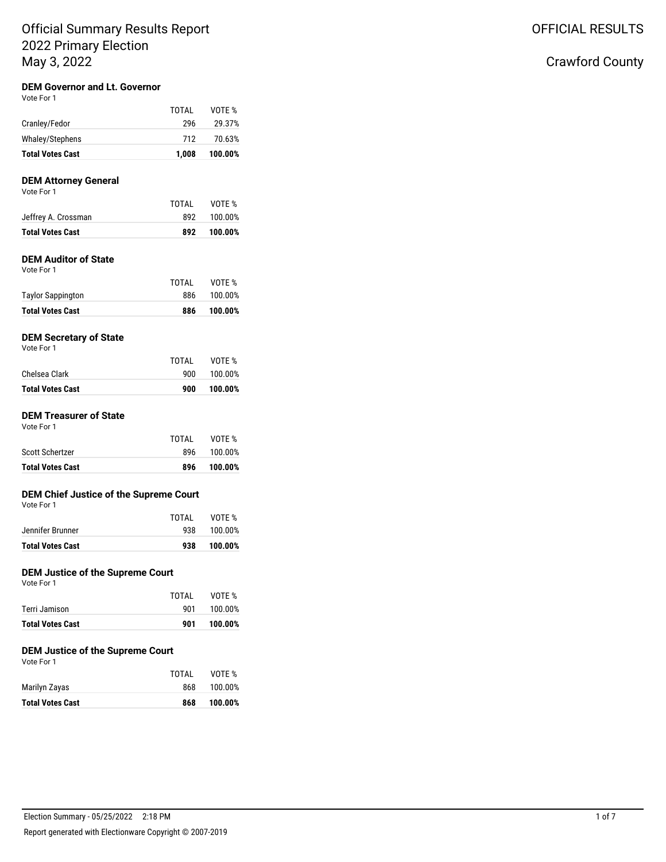## **DEM Governor and Lt. Governor**

| <b>Total Votes Cast</b> | 1.008 | 100.00% |
|-------------------------|-------|---------|
| Whaley/Stephens         | 712   | 70.63%  |
| Cranley/Fedor           | 296   | 29.37%  |
|                         | TOTAL | VOTE %  |

### **DEM Attorney General**

| <b>Total Votes Cast</b> | 892   | 100.00% |
|-------------------------|-------|---------|
| Jeffrey A. Crossman     | 892   | 100.00% |
|                         | TOTAL | VOTE %  |
| Vote For 1              |       |         |

## **DEM Auditor of State**

Vote For 1

| <b>Total Votes Cast</b>  | 886   | 100.00% |
|--------------------------|-------|---------|
| <b>Taylor Sappington</b> | 886   | 100.00% |
|                          | TOTAL | VOTE %  |

## **DEM Secretary of State**

Vote For 1

| TOTAI | VOTE %  |
|-------|---------|
| 900   | 100.00% |
| 900   | 100.00% |
|       |         |

#### **DEM Treasurer of State** Vote For 1

| <b>Total Votes Cast</b> | 896   | 100.00% |
|-------------------------|-------|---------|
| Scott Schertzer         | 896   | 100.00% |
|                         | TOTAL | VOTE %  |
|                         |       |         |

### **DEM Chief Justice of the Supreme Court**

|  | Vote For 1 |  |  |
|--|------------|--|--|
|--|------------|--|--|

|                         | TOTAI | VOTE %  |
|-------------------------|-------|---------|
| Jennifer Brunner        | 938   | 100.00% |
| <b>Total Votes Cast</b> | 938   | 100.00% |

## **DEM Justice of the Supreme Court**

Vote For 1

|                         | TOTAI | VOTE %  |
|-------------------------|-------|---------|
| Terri Jamison           | 901   | 100.00% |
| <b>Total Votes Cast</b> | 901   | 100.00% |

## **DEM Justice of the Supreme Court**

Vote For 1

|                         | TOTAI | VOTE %  |
|-------------------------|-------|---------|
| Marilyn Zayas           | 868   | 100.00% |
| <b>Total Votes Cast</b> | 868   | 100.00% |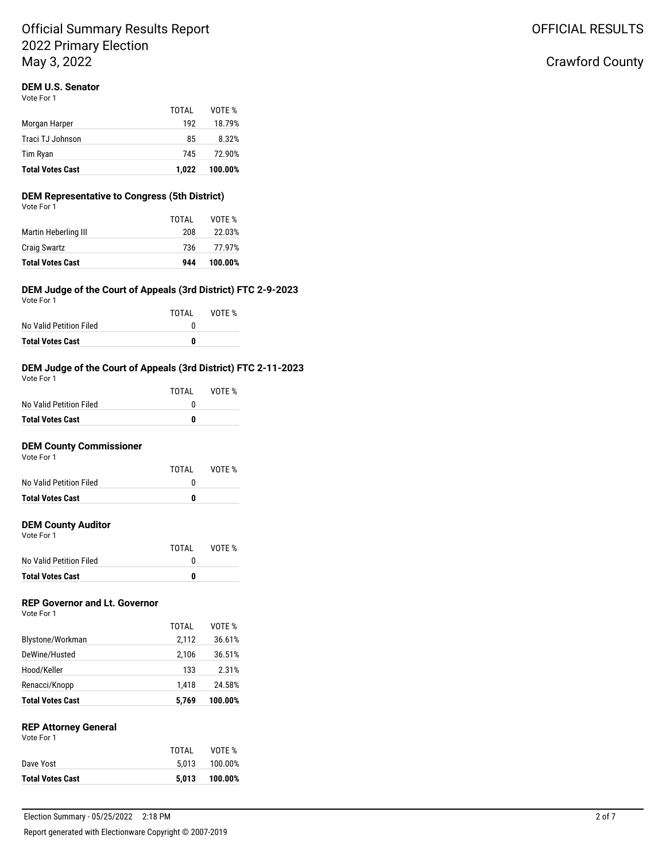## **DEM U.S. Senator**

Vote For 1

| <b>Total Votes Cast</b> | 1.022 | 100.00% |
|-------------------------|-------|---------|
| Tim Ryan                | 745   | 72.90%  |
| Traci TJ Johnson        | 85    | 8.32%   |
| Morgan Harper           | 192   | 18.79%  |
|                         | TOTAL | VOTE %  |

## **DEM Representative to Congress (5th District)**

| <b>Total Votes Cast</b> | 944   | 100.00% |
|-------------------------|-------|---------|
| <b>Craig Swartz</b>     | 736   | 77.97%  |
| Martin Heberling III    | 208   | 22.03%  |
|                         | TOTAL | VOTE %  |
| Vote For 1              |       |         |

#### **DEM Judge of the Court of Appeals (3rd District) FTC 2-9-2023** Vote For 1

| VOLE FOI I              | TOTAI | VOTE % |
|-------------------------|-------|--------|
| No Valid Petition Filed | 0     |        |
| <b>Total Votes Cast</b> | 0     |        |

## **DEM Judge of the Court of Appeals (3rd District) FTC 2-11-2023**

| Vote For 1              |       |        |
|-------------------------|-------|--------|
|                         | TOTAI | VOTE % |
| No Valid Petition Filed | n     |        |
| <b>Total Votes Cast</b> | o     |        |

## **DEM County Commissioner**

| Vote For 1 |  |  |  |
|------------|--|--|--|
|            |  |  |  |

|                         | TOTAI | VOTE % |
|-------------------------|-------|--------|
| No Valid Petition Filed | n     |        |
| <b>Total Votes Cast</b> | 0     |        |

#### **DEM County Auditor** Vote For 1

| <b>Total Votes Cast</b> | o     |        |
|-------------------------|-------|--------|
| No Valid Petition Filed | n     |        |
|                         | TOTAI | VOTE % |

### **REP Governor and Lt. Governor**

| <b>Total Votes Cast</b> | 5.769 | 100.00% |
|-------------------------|-------|---------|
| Renacci/Knopp           | 1.418 | 24.58%  |
| Hood/Keller             | 133   | 2.31%   |
| DeWine/Husted           | 2,106 | 36.51%  |
| Blystone/Workman        | 2.112 | 36.61%  |
|                         | TOTAL | VOTF %  |
| Vote For 1              |       |         |

## **REP Attorney General**

| <b>Total Votes Cast</b> |       | 5.013 100.00% |
|-------------------------|-------|---------------|
| Dave Yost               | 5.013 | 100.00%       |
|                         | TOTAL | VOTE %        |
| Vote For 1              |       |               |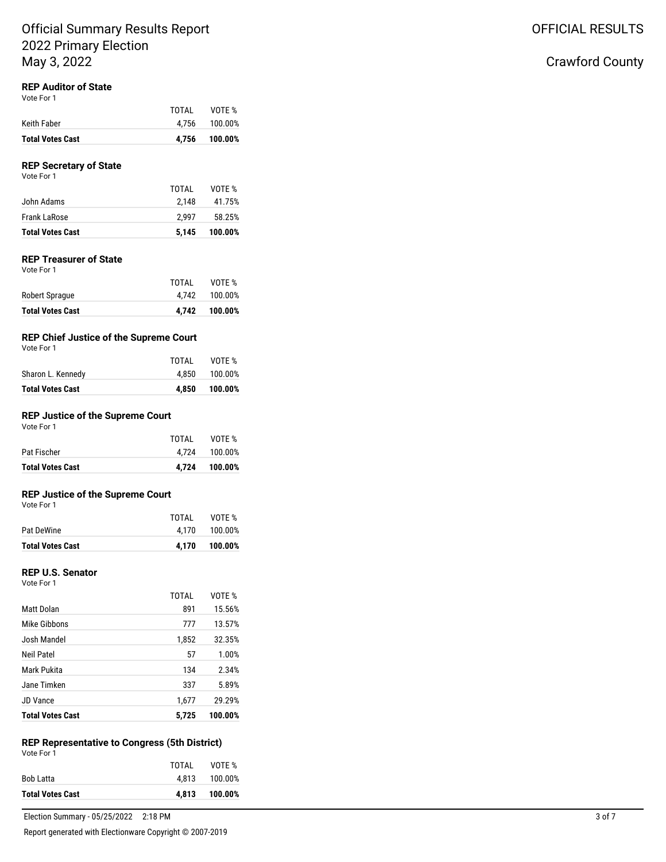### **REP Auditor of State**

Vote For 1

| <b>Total Votes Cast</b> | 4.756 | 100.00%       |
|-------------------------|-------|---------------|
| Keith Faber             |       | 4.756 100.00% |
|                         | TOTAI | VOTE %        |

#### **REP Secretary of State** Vote For 1

| <b>Total Votes Cast</b> | 5.145 | 100.00% |
|-------------------------|-------|---------|
| Frank LaRose            | 2.997 | 58.25%  |
| John Adams              | 2.148 | 41.75%  |
|                         | TOTAL | VOTE %  |

## **REP Treasurer of State**

Vote For 1

|                         | TOTAL | VOTE %        |
|-------------------------|-------|---------------|
| Robert Sprague          |       | 4.742 100.00% |
| <b>Total Votes Cast</b> | 4.742 | 100.00%       |

## **REP Chief Justice of the Supreme Court**

| Vote For |  |
|----------|--|
|          |  |

| <b>Total Votes Cast</b> | 4.850 | 100.00% |
|-------------------------|-------|---------|
| Sharon L. Kennedy       | 4.850 | 100.00% |
|                         | TOTAL | VOTE %  |

### **REP Justice of the Supreme Court**

| <b>Total Votes Cast</b> |       | 4,724 100.00% |
|-------------------------|-------|---------------|
| Pat Fischer             | 4.724 | 100.00%       |
|                         | TOTAL | VOTE %        |
| .<br>Vote For 1         |       |               |

### **REP Justice of the Supreme Court**

Vote For 1

|                         | TOTAI | VOTE %        |
|-------------------------|-------|---------------|
| Pat DeWine              |       | 4,170 100.00% |
| <b>Total Votes Cast</b> |       | 4.170 100.00% |

### **REP U.S. Senator**

Vote For 1

| <b>Total Votes Cast</b> | 5.725        | 100.00% |
|-------------------------|--------------|---------|
| <b>JD Vance</b>         | 1,677        | 29.29%  |
| Jane Timken             | 337          | 5.89%   |
| Mark Pukita             | 134          | 2.34%   |
| Neil Patel              | 57           | 1.00%   |
| Josh Mandel             | 1,852        | 32.35%  |
| Mike Gibbons            | 777          | 13.57%  |
| Matt Dolan              | 891          | 15.56%  |
|                         | <b>TOTAL</b> | VOTE %  |

#### **REP Representative to Congress (5th District)** Vote For 1

|                         | TOTAL | VOTE %  |
|-------------------------|-------|---------|
| Bob Latta               | 4.813 | 100.00% |
| <b>Total Votes Cast</b> | 4.813 | 100.00% |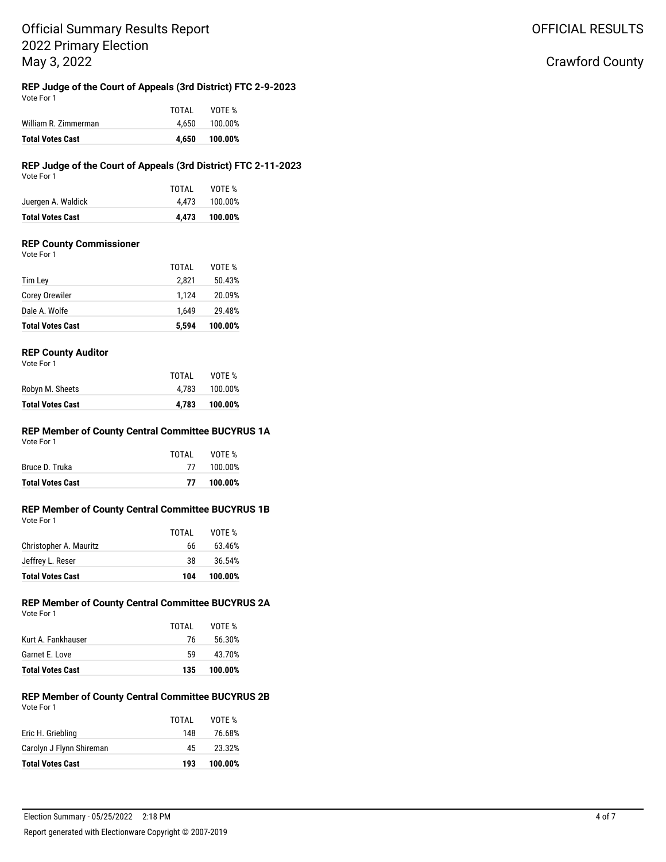#### **REP Judge of the Court of Appeals (3rd District) FTC 2-9-2023** Vote For 1

| <b>Total Votes Cast</b> | 4.650 | 100.00% |
|-------------------------|-------|---------|
| William R. Zimmerman    | 4.650 | 100.00% |
|                         | TOTAL | VOTE %  |

#### **REP Judge of the Court of Appeals (3rd District) FTC 2-11-2023** Vote For 1

| <b>Total Votes Cast</b> |       | 4.473 100.00% |
|-------------------------|-------|---------------|
| Juergen A. Waldick      |       | 4.473 100.00% |
|                         | TOTAL | VOTE %        |
| <b>VULLET UIT</b>       |       |               |

### **REP County Commissioner**

Vote For 1

|                         | TOTAL | VOTE %  |
|-------------------------|-------|---------|
| Tim Ley                 | 2.821 | 50.43%  |
| Corey Orewiler          | 1.124 | 20.09%  |
| Dale A. Wolfe           | 1.649 | 29.48%  |
| <b>Total Votes Cast</b> | 5.594 | 100.00% |

## **REP County Auditor**

Vote For 1

|                         | TOTAI | VOTE %  |
|-------------------------|-------|---------|
| Robyn M. Sheets         | 4.783 | 100.00% |
| <b>Total Votes Cast</b> | 4.783 | 100.00% |

#### **REP Member of County Central Committee BUCYRUS 1A** Vote For 1

|                         | TOTAI | VOTE %     |
|-------------------------|-------|------------|
| Bruce D. Truka          |       | 77 100.00% |
| <b>Total Votes Cast</b> | 77    | 100.00%    |

### **REP Member of County Central Committee BUCYRUS 1B**

| <b>Total Votes Cast</b> | 104   | 100.00% |
|-------------------------|-------|---------|
| Jeffrey L. Reser        | 38    | 36.54%  |
| Christopher A. Mauritz  | 66    | 63.46%  |
|                         | TOTAI | VOTE %  |
| Vote For 1              |       |         |

#### **REP Member of County Central Committee BUCYRUS 2A** Vote For 1

| <b>Total Votes Cast</b> | 135.  | 100.00% |
|-------------------------|-------|---------|
| Garnet E. Love          | 59.   | 43.70%  |
| Kurt A. Fankhauser      | 76    | 56.30%  |
|                         | TOTAL | VOTE %  |
|                         |       |         |

#### **REP Member of County Central Committee BUCYRUS 2B** Vote For 1

| 45    | 23.32% |
|-------|--------|
| 148   | 76.68% |
| TOTAI | VOTE % |
|       |        |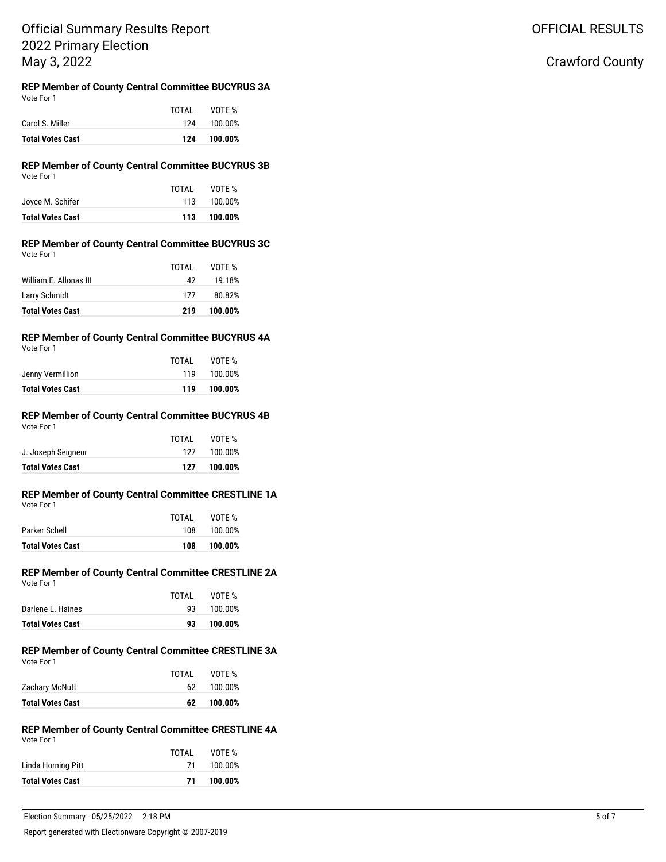OFFICIAL RESULTS

## Crawford County

#### **REP Member of County Central Committee BUCYRUS 3A** Vote For 1

| <b>Total Votes Cast</b> | 124   | 100.00%     |
|-------------------------|-------|-------------|
| Carol S. Miller         |       | 124 100.00% |
|                         | TOTAI | VOTE %      |

## **REP Member of County Central Committee BUCYRUS 3B**

| <b>Total Votes Cast</b> | 113   | 100.00% |
|-------------------------|-------|---------|
| Joyce M. Schifer        | 113   | 100.00% |
|                         | TOTAL | VOTE %  |
| Vote For 1              |       |         |

#### **REP Member of County Central Committee BUCYRUS 3C** Vote For 1

| <b>Total Votes Cast</b> |       |        |
|-------------------------|-------|--------|
| Larry Schmidt           | 177   | 80.82% |
| William E. Allonas III  | 42    | 19.18% |
|                         | TOTAL | VOTE % |

### **REP Member of County Central Committee BUCYRUS 4A**

Vote For 1

| TOTAI | VOTE %  |
|-------|---------|
| 119   | 100.00% |
| 119   | 100.00% |
|       |         |

#### **REP Member of County Central Committee BUCYRUS 4B** Vote For 1

| <b>Total Votes Cast</b> | 127   | 100.00% |
|-------------------------|-------|---------|
| J. Joseph Seigneur      | 127   | 100.00% |
|                         | TOTAL | VOTE %  |
| VULCIUII                |       |         |

## **REP Member of County Central Committee CRESTLINE 1A**

|                         | TOTAL | VOTE %  |
|-------------------------|-------|---------|
| Parker Schell           | 108   | 100.00% |
| <b>Total Votes Cast</b> | 108   | 100.00% |

#### **REP Member of County Central Committee CRESTLINE 2A** Vote For 1

|                         | TOTAL | VOTE %  |
|-------------------------|-------|---------|
| Darlene L. Haines       | 93.   | 100.00% |
| <b>Total Votes Cast</b> | 93    | 100.00% |

#### **REP Member of County Central Committee CRESTLINE 3A** Vote For 1

|                         | TOTAI | VOTE %  |
|-------------------------|-------|---------|
| Zachary McNutt          | 62.   | 100.00% |
| <b>Total Votes Cast</b> | 62    | 100.00% |

#### **REP Member of County Central Committee CRESTLINE 4A** Vote For 1

|                         | TOTAL | VOTE %  |
|-------------------------|-------|---------|
| Linda Horning Pitt      | 71    | 100.00% |
| <b>Total Votes Cast</b> | 71    | 100.00% |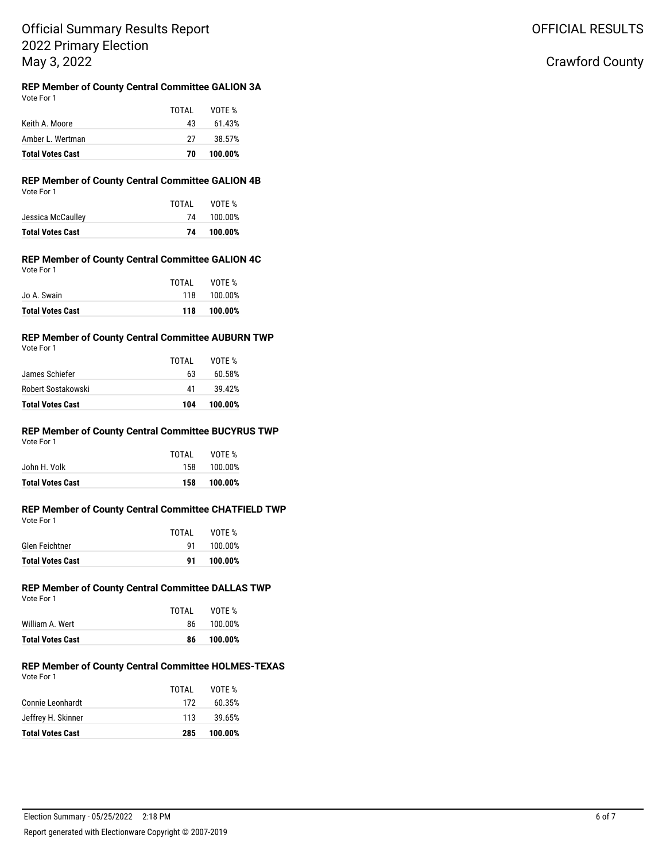## Crawford County

#### **REP Member of County Central Committee GALION 3A** Vote For 1

|                         | TOTAL | VOTE %  |
|-------------------------|-------|---------|
| Keith A. Moore          | 43    | 61.43%  |
| Amber L. Wertman        | 27    | 38.57%  |
| <b>Total Votes Cast</b> | 70    | 100.00% |

## **REP Member of County Central Committee GALION 4B**

|                         | TOTAL | VOTE %  |
|-------------------------|-------|---------|
| Jessica McCaulley       | 74    | 100.00% |
| <b>Total Votes Cast</b> | 74    | 100.00% |

## **REP Member of County Central Committee GALION 4C**

| <b>Total Votes Cast</b> | 118   | 100.00% |
|-------------------------|-------|---------|
| Jo A. Swain             | 118   | 100.00% |
|                         | TOTAL | VOTE %  |
| Vote For 1              |       |         |

## **REP Member of County Central Committee AUBURN TWP**

Vote For 1

|                         | TOTAL | VOTF %  |
|-------------------------|-------|---------|
| James Schiefer          | 63    | 60.58%  |
| Robert Sostakowski      | 41    | 39.42%  |
| <b>Total Votes Cast</b> | 104   | 100.00% |

#### **REP Member of County Central Committee BUCYRUS TWP** Vote For 1

| <b>Total Votes Cast</b> | 158   | 100.00% |
|-------------------------|-------|---------|
| John H. Volk            | 158   | 100.00% |
|                         | TOTAI | VOTF %  |

#### **REP Member of County Central Committee CHATFIELD TWP** Vote For 1

| <b>Total Votes Cast</b> | -91   | 100.00% |
|-------------------------|-------|---------|
| Glen Feichtner          | 91    | 100.00% |
|                         | TOTAI | VOTE %  |
| <b>VULLIUI</b>          |       |         |

## **REP Member of County Central Committee DALLAS TWP**

| Vote For 1 |  |
|------------|--|
|            |  |

|                         | TOTAI | VOTE %  |
|-------------------------|-------|---------|
| William A. Wert         | 86.   | 100.00% |
| <b>Total Votes Cast</b> | 86    | 100.00% |

#### **REP Member of County Central Committee HOLMES-TEXAS** Vote For 1

| <b>Total Votes Cast</b> | 285   | 100.00% |
|-------------------------|-------|---------|
| Jeffrey H. Skinner      | 113   | 39.65%  |
| Connie Leonhardt        | 172   | 60.35%  |
|                         | TOTAL | VOTE %  |